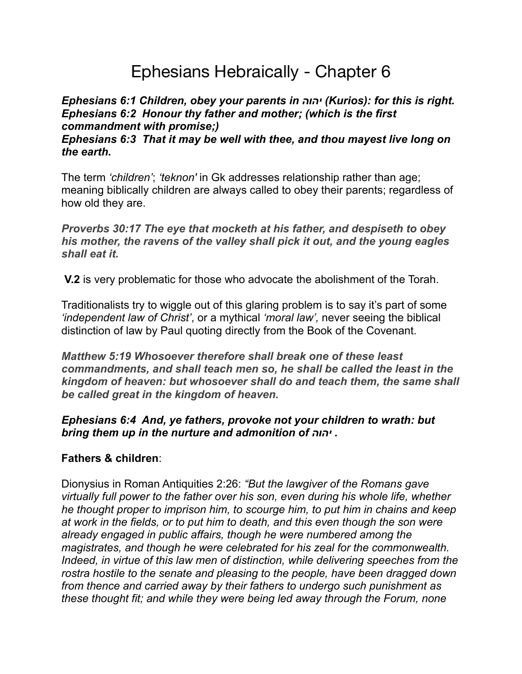# Ephesians Hebraically - Chapter 6

## *Ephesians 6:1 Children, obey your parents in יהוה) Kurios): for this is right. Ephesians 6:2 Honour thy father and mother; (which is the first commandment with promise;)*

#### *Ephesians 6:3 That it may be well with thee, and thou mayest live long on the earth.*

The term *'children'*; *'teknon'* in Gk addresses relationship rather than age; meaning biblically children are always called to obey their parents; regardless of how old they are.

*Proverbs 30:17 The eye that mocketh at his father, and despiseth to obey his mother, the ravens of the valley shall pick it out, and the young eagles shall eat it.*

**V.2** is very problematic for those who advocate the abolishment of the Torah.

Traditionalists try to wiggle out of this glaring problem is to say it's part of some *'independent law of Christ'*, or a mythical *'moral law',* never seeing the biblical distinction of law by Paul quoting directly from the Book of the Covenant.

*Matthew 5:19 Whosoever therefore shall break one of these least commandments, and shall teach men so, he shall be called the least in the kingdom of heaven: but whosoever shall do and teach them, the same shall be called great in the kingdom of heaven.* 

*Ephesians 6:4 And, ye fathers, provoke not your children to wrath: but bring them up in the nurture and admonition of יהוה .*

### **Fathers & children**:

Dionysius in Roman Antiquities 2:26: *"But the lawgiver of the Romans gave virtually full power to the father over his son, even during his whole life, whether he thought proper to imprison him, to scourge him, to put him in chains and keep at work in the fields, or to put him to death, and this even though the son were already engaged in public affairs, though he were numbered among the magistrates, and though he were celebrated for his zeal for the commonwealth. Indeed, in virtue of this law men of distinction, while delivering speeches from the rostra hostile to the senate and pleasing to the people, have been dragged down from thence and carried away by their fathers to undergo such punishment as these thought fit; and while they were being led away through the Forum, none*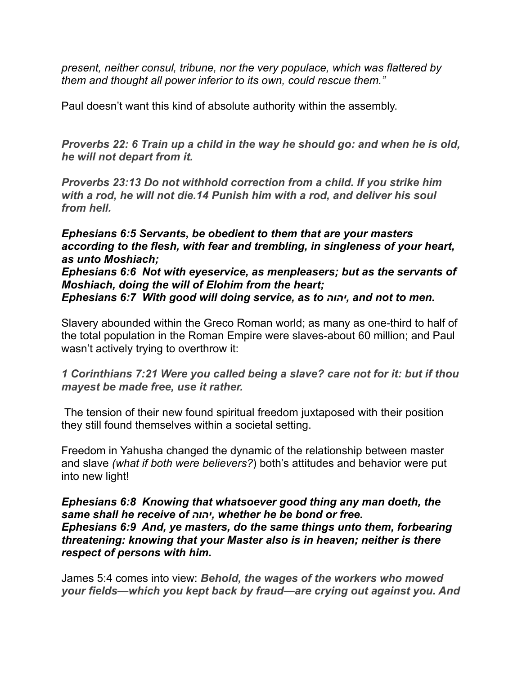*present, neither consul, tribune, nor the very populace, which was flattered by them and thought all power inferior to its own, could rescue them."* 

Paul doesn't want this kind of absolute authority within the assembly.

*Proverbs 22: 6 Train up a child in the way he should go: and when he is old, he will not depart from it.*

*Proverbs 23:13 Do not withhold correction from a child. If you strike him with a rod, he will not die.14 Punish him with a rod, and deliver his soul from hell.* 

*Ephesians 6:5 Servants, be obedient to them that are your masters according to the flesh, with fear and trembling, in singleness of your heart, as unto Moshiach;* 

*Ephesians 6:6 Not with eyeservice, as menpleasers; but as the servants of Moshiach, doing the will of Elohim from the heart; Ephesians 6:7 With good will doing service, as to יהוה, and not to men.*

Slavery abounded within the Greco Roman world; as many as one-third to half of the total population in the Roman Empire were slaves-about 60 million; and Paul wasn't actively trying to overthrow it:

*1 Corinthians 7:21 Were you called being a slave? care not for it: but if thou mayest be made free, use it rather.*

 The tension of their new found spiritual freedom juxtaposed with their position they still found themselves within a societal setting.

Freedom in Yahusha changed the dynamic of the relationship between master and slave *(what if both were believers?*) both's attitudes and behavior were put into new light!

*Ephesians 6:8 Knowing that whatsoever good thing any man doeth, the same shall he receive of יהוה, whether he be bond or free. Ephesians 6:9 And, ye masters, do the same things unto them, forbearing threatening: knowing that your Master also is in heaven; neither is there respect of persons with him.*

James 5:4 comes into view: *Behold, the wages of the workers who mowed your fields—which you kept back by fraud—are crying out against you. And*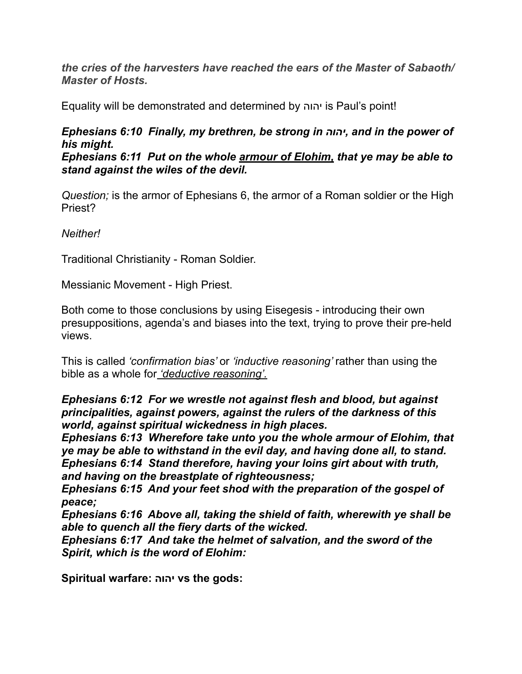*the cries of the harvesters have reached the ears of the Master of Sabaoth/ Master of Hosts.* 

Equality will be demonstrated and determined by יהוה is Paul's point!

### *Ephesians 6:10 Finally, my brethren, be strong in יהוה, and in the power of his might.*

*Ephesians 6:11 Put on the whole armour of Elohim, that ye may be able to stand against the wiles of the devil.*

*Question;* is the armor of Ephesians 6, the armor of a Roman soldier or the High Priest?

*Neither!* 

Traditional Christianity - Roman Soldier.

Messianic Movement - High Priest.

Both come to those conclusions by using Eisegesis - introducing their own presuppositions, agenda's and biases into the text, trying to prove their pre-held views.

This is called *'confirmation bias'* or *'inductive reasoning'* rather than using the bible as a whole for *'deductive reasoning'.* 

*Ephesians 6:12 For we wrestle not against flesh and blood, but against principalities, against powers, against the rulers of the darkness of this world, against spiritual wickedness in high places.* 

*Ephesians 6:13 Wherefore take unto you the whole armour of Elohim, that ye may be able to withstand in the evil day, and having done all, to stand. Ephesians 6:14 Stand therefore, having your loins girt about with truth, and having on the breastplate of righteousness;*

*Ephesians 6:15 And your feet shod with the preparation of the gospel of peace;*

*Ephesians 6:16 Above all, taking the shield of faith, wherewith ye shall be able to quench all the fiery darts of the wicked.*

*Ephesians 6:17 And take the helmet of salvation, and the sword of the Spirit, which is the word of Elohim:*

**Spiritual warfare: יהוה vs the gods:**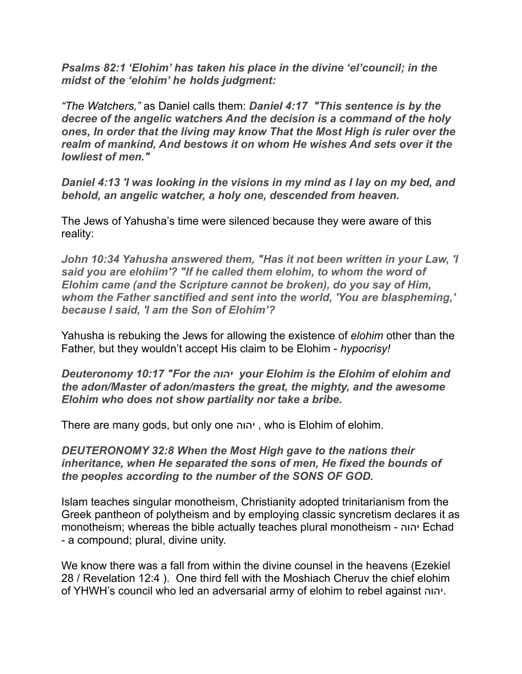*Psalms 82:1 'Elohim' has taken his place in the divine 'el'council; in the midst of the 'elohim' he holds judgment:*

*"The Watchers,"* as Daniel calls them: *Daniel 4:17 "This sentence is by the decree of the angelic watchers And the decision is a command of the holy ones, In order that the living may know That the Most High is ruler over the realm of mankind, And bestows it on whom He wishes And sets over it the lowliest of men."*

*Daniel 4:13 'I was looking in the visions in my mind as I lay on my bed, and behold, an angelic watcher, a holy one, descended from heaven.*

The Jews of Yahusha's time were silenced because they were aware of this reality:

*John 10:34 Yahusha answered them, "Has it not been written in your Law, 'I said you are elohiim'? "If he called them elohim, to whom the word of Elohim came (and the Scripture cannot be broken), do you say of Him, whom the Father sanctified and sent into the world, 'You are blaspheming,' because I said, 'I am the Son of Elohim'?*

Yahusha is rebuking the Jews for allowing the existence of *elohim* other than the Father, but they wouldn't accept His claim to be Elohim - *hypocrisy!* 

*Deuteronomy 10:17 "For the יהוה your Elohim is the Elohim of elohim and the adon/Master of adon/masters the great, the mighty, and the awesome Elohim who does not show partiality nor take a bribe.* 

There are many gods, but only one יהוה , who is Elohim of elohim.

*DEUTERONOMY 32:8 When the Most High gave to the nations their inheritance, when He separated the sons of men, He fixed the bounds of the peoples according to the number of the SONS OF GOD.*

Islam teaches singular monotheism, Christianity adopted trinitarianism from the Greek pantheon of polytheism and by employing classic syncretism declares it as monotheism; whereas the bible actually teaches plural monotheism - יהוה Echad - a compound; plural, divine unity.

We know there was a fall from within the divine counsel in the heavens (Ezekiel 28 / Revelation 12:4 ). One third fell with the Moshiach Cheruv the chief elohim of YHWH's council who led an adversarial army of elohim to rebel against יהוה.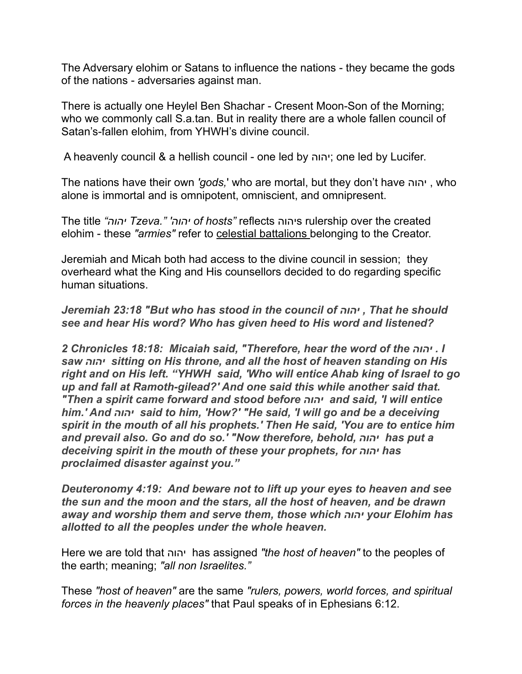The Adversary elohim or Satans to influence the nations - they became the gods of the nations - adversaries against man.

There is actually one Heylel Ben Shachar - Cresent Moon-Son of the Morning; who we commonly call S.a.tan. But in reality there are a whole fallen council of Satan's-fallen elohim, from YHWH's divine council.

A heavenly council & a hellish council - one led by יהוה ;one led by Lucifer.

The nations have their own *'gods,*' who are mortal, but they don't have יהוה , who alone is immortal and is omnipotent, omniscient, and omnipresent.

The title *"יהוה Tzeva." 'יהוה of hosts"* reflects יהוהs rulership over the created elohim - these *"armies"* refer to celestial battalions belonging to the Creator.

Jeremiah and Micah both had access to the divine council in session; they overheard what the King and His counsellors decided to do regarding specific human situations.

*Jeremiah 23:18 "But who has stood in the council of יהוה , That he should see and hear His word? Who has given heed to His word and listened?*

*2 Chronicles 18:18: Micaiah said, "Therefore, hear the word of the יהוה . I saw יהוה sitting on His throne, and all the host of heaven standing on His right and on His left. "YHWH said, 'Who will entice Ahab king of Israel to go up and fall at Ramoth-gilead?' And one said this while another said that. "Then a spirit came forward and stood before יהוה and said, 'I will entice him.' And יהוה said to him, 'How?' "He said, 'I will go and be a deceiving spirit in the mouth of all his prophets.' Then He said, 'You are to entice him and prevail also. Go and do so.' "Now therefore, behold, יהוה has put a deceiving spirit in the mouth of these your prophets, for יהוה has proclaimed disaster against you."* 

*Deuteronomy 4:19: And beware not to lift up your eyes to heaven and see the sun and the moon and the stars, all the host of heaven, and be drawn away and worship them and serve them, those which יהוה your Elohim has allotted to all the peoples under the whole heaven.*

Here we are told that יהוה has assigned *"the host of heaven"* to the peoples of the earth; meaning; *"all non Israelites."* 

These *"host of heaven"* are the same *"rulers, powers, world forces, and spiritual forces in the heavenly places"* that Paul speaks of in Ephesians 6:12.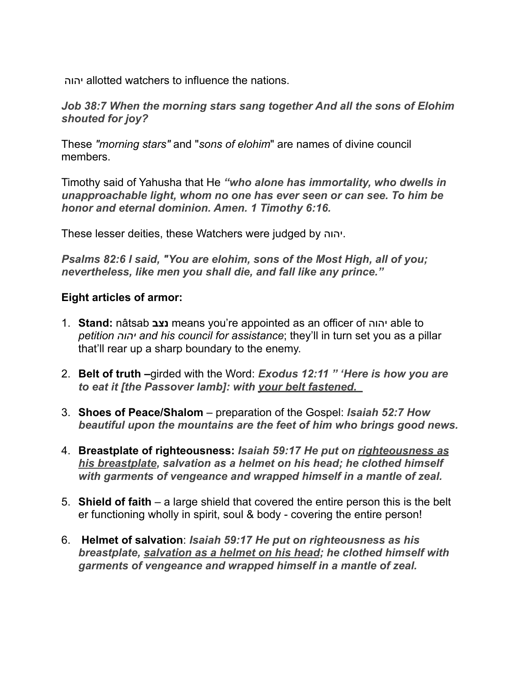יהוה allotted watchers to influence the nations.

*Job 38:7 When the morning stars sang together And all the sons of Elohim shouted for joy?* 

These *"morning stars"* and "*sons of elohim*" are names of divine council members.

Timothy said of Yahusha that He *"who alone has immortality, who dwells in unapproachable light, whom no one has ever seen or can see. To him be honor and eternal dominion. Amen. 1 Timothy 6:16.* 

These lesser deities, these Watchers were judged by יהוה.

*Psalms 82:6 I said, "You are elohim, sons of the Most High, all of you; nevertheless, like men you shall die, and fall like any prince."* 

### **Eight articles of armor:**

- 1. **Stand:** nâtsab **נצב** means you're appointed as an officer of יהוה able to *petition יהוה and his council for assistance*; they'll in turn set you as a pillar that'll rear up a sharp boundary to the enemy.
- 2. **Belt of truth –**girded with the Word: *Exodus 12:11 " 'Here is how you are to eat it [the Passover lamb]: with your belt fastened.*
- 3. **Shoes of Peace/Shalom** preparation of the Gospel: *Isaiah 52:7 How beautiful upon the mountains are the feet of him who brings good news.*
- 4. **Breastplate of righteousness:** *Isaiah 59:17 He put on righteousness as his breastplate, salvation as a helmet on his head; he clothed himself with garments of vengeance and wrapped himself in a mantle of zeal.*
- 5. **Shield of faith**  a large shield that covered the entire person this is the belt er functioning wholly in spirit, soul & body - covering the entire person!
- 6. **Helmet of salvation**: *Isaiah 59:17 He put on righteousness as his breastplate, salvation as a helmet on his head; he clothed himself with garments of vengeance and wrapped himself in a mantle of zeal.*